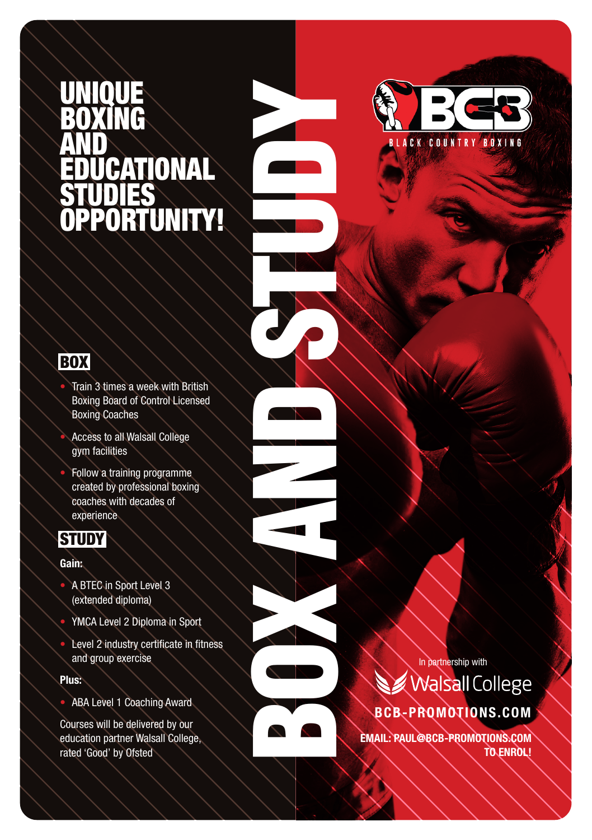## UNIQUE BOXING AND CATIONAL STUDIES UNITY!

**BOX** 

• Train 3 times a week with British Boxing Board of Control Licensed Boxing Coaches

BOX AND STUDY STUDY

- Access to all Walsall College gym facilities
- Follow a training programme created by professional boxing coaches with decades of experience



#### **Gain:**

- A BTEC in Sport Level 3 (extended diploma)
- YMCA Level 2 Diploma in Sport
- Level 2 industry certificate in fitness and group exercise

#### **Plus:**

• ABA Level 1 Coaching Award

Courses will be delivered by our education partner Walsall College, rated 'Good' by Ofsted

In partnership with **Walsall College BCB-PROMOTIONS.COM**

**EMAIL: PAUL@BCB-PROMOTIONS.COM TO ENROL!**

**ACK CO**